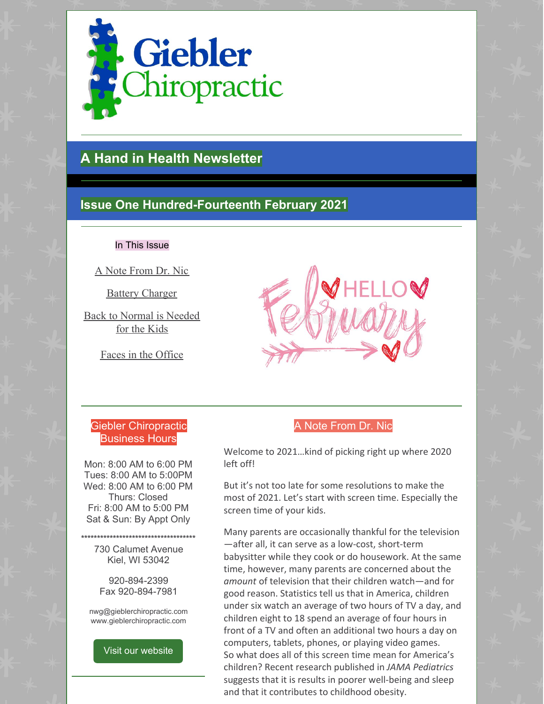

# **A Hand in Health Newsletter**

## **Issue One Hundred-Fourteenth February 2021**

#### In This Issue

A Note From Dr. Nic

Battery Charger

Back to Normal is Needed for the Kids

Faces in the Office



### Giebler Chiropractic Business Hours

Mon: 8:00 AM to 6:00 PM Tues: 8:00 AM to 5:00PM Wed: 8:00 AM to 6:00 PM Thurs: Closed Fri: 8:00 AM to 5:00 PM Sat & Sun: By Appt Only

730 Calumet Avenue Kiel, WI 53042

**\*\*\*\*\*\*\*\*\*\*\*\*\*\*\*\*\*\*\*\*\*\*\*\*\*\*\*\*\*\*\*\*\*\*\*\***

920-894-2399 Fax 920-894-7981

nwg@gieblerchiropractic.com www.gieblerchiropractic.com

Visit our [website](http://www.gieblerchiropractic.com)

### A Note From Dr. Nic

Welcome to 2021…kind of picking right up where 2020 left off!

But it's not too late for some resolutions to make the most of 2021. Let's start with screen time. Especially the screen time of your kids.

Many parents are occasionally thankful for the television —after all, it can serve as a low-cost, short-term babysitter while they cook or do housework. At the same time, however, many parents are concerned about the *amount* of television that their children watch—and for good reason. Statistics tell us that in America, children under six watch an average of two hours of TV a day, and children eight to 18 spend an average of four hours in front of a TV and often an additional two hours a day on computers, tablets, phones, or playing video games. So what does all of this screen time mean for America's children? Recent research published in *JAMA Pediatrics* suggests that it is results in poorer well-being and sleep and that it contributes to childhood obesity.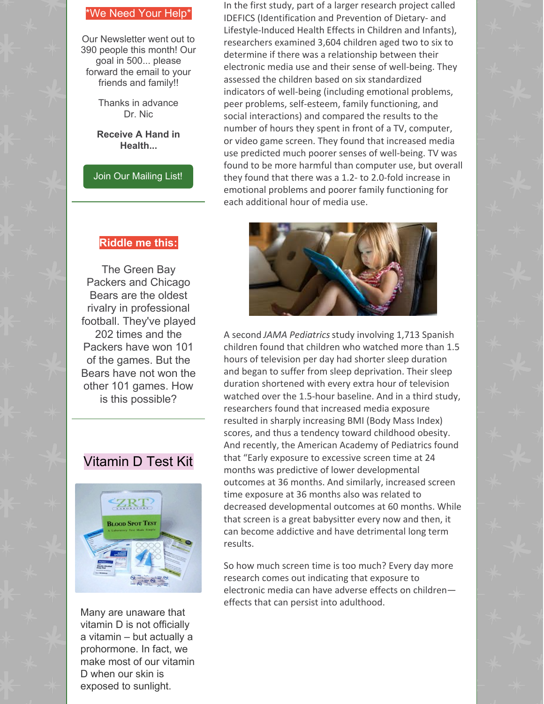#### \*We Need Your Help\*

Our Newsletter went out to 390 people this month! Our goal in 500... please forward the email to your friends and family!!

> Thanks in advance Dr. Nic

**Receive A Hand in Health...**

Join Our [Mailing](http://www.gieblerchiropractic.com/newsletter/) List!

#### **Riddle me this:**

The Green Bay Packers and Chicago Bears are the oldest rivalry in professional football. They've played 202 times and the Packers have won 101 of the games. But the Bears have not won the other 101 games. How is this possible?

## Vitamin D Test Kit



Many are unaware that vitamin D is not officially a vitamin – but actually a prohormone. In fact, we make most of our vitamin D when our skin is exposed to sunlight.

In the first study, part of a larger research project called IDEFICS (Identification and Prevention of Dietary- and Lifestyle-Induced Health Effects in Children and Infants), researchers examined 3,604 children aged two to six to determine if there was a relationship between their electronic media use and their sense of well-being. They assessed the children based on six standardized indicators of well-being (including emotional problems, peer problems, self-esteem, family functioning, and social interactions) and compared the results to the number of hours they spent in front of a TV, computer, or video game screen. They found that increased media use predicted much poorer senses of well-being. TV was found to be more harmful than computer use, but overall they found that there was a 1.2- to 2.0-fold increase in emotional problems and poorer family functioning for each additional hour of media use.



A second *JAMA Pediatrics*study involving 1,713 Spanish children found that children who watched more than 1.5 hours of television per day had shorter sleep duration and began to suffer from sleep deprivation. Their sleep duration shortened with every extra hour of television watched over the 1.5-hour baseline. And in a third study, researchers found that increased media exposure resulted in sharply increasing BMI (Body Mass Index) scores, and thus a tendency toward childhood obesity. And recently, the American Academy of Pediatrics found that "Early exposure to excessive screen time at 24 months was predictive of lower developmental outcomes at 36 months. And similarly, increased screen time exposure at 36 months also was related to decreased developmental outcomes at 60 months. While that screen is a great babysitter every now and then, it can become addictive and have detrimental long term results.

So how much screen time is too much? Every day more research comes out indicating that exposure to electronic media can have adverse effects on children effects that can persist into adulthood.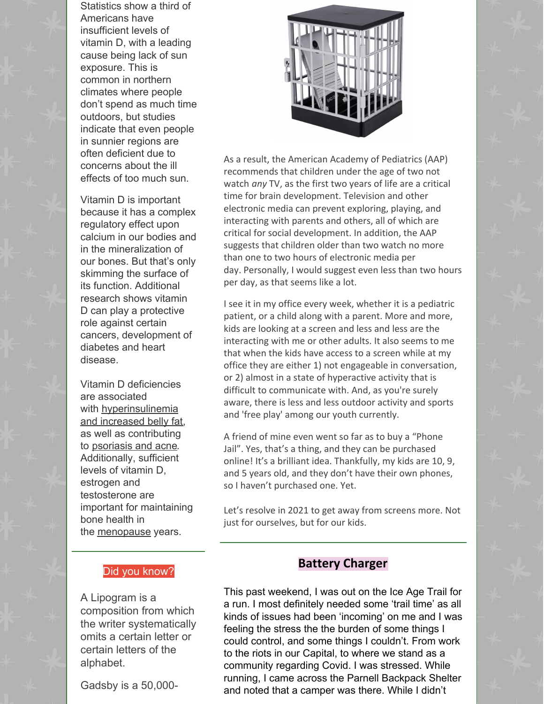Statistics show a third of Americans have insufficient levels of vitamin D, with a leading cause being lack of sun exposure. This is common in northern climates where people don't spend as much time outdoors, but studies indicate that even people in sunnier regions are often deficient due to concerns about the ill effects of too much sun.

Vitamin D is important because it has a complex regulatory effect upon calcium in our bodies and in the mineralization of our bones. But that's only skimming the surface of its function. Additional research shows vitamin D can play a protective role against certain cancers, development of diabetes and heart disease.

Vitamin D deficiencies are associated with [hyperinsulinemia](https://www.zrtlab.com/test-specialties/weight-management/) and increased belly fat, as well as contributing to [psoriasis](https://www.zrtlab.com/test-specialties/vitamin-d/#) and acne. Additionally, sufficient levels of vitamin D, estrogen and testosterone are important for maintaining bone health in the [menopause](https://www.zrtlab.com/test-specialties/menopause/) years.

#### Did you know?

A Lipogram is a composition from which the writer systematically omits a certain letter or certain letters of the alphabet.

Gadsby is a 50,000-



As a result, the American Academy of Pediatrics (AAP) recommends that children under the age of two not watch *any* TV, as the first two years of life are a critical time for brain development. Television and other electronic media can prevent exploring, playing, and interacting with parents and others, all of which are critical for social development. In addition, the AAP suggests that children older than two watch no more than one to two hours of electronic media per day. Personally, I would suggest even less than two hours per day, as that seems like a lot.

I see it in my office every week, whether it is a pediatric patient, or a child along with a parent. More and more, kids are looking at a screen and less and less are the interacting with me or other adults. It also seems to me that when the kids have access to a screen while at my office they are either 1) not engageable in conversation, or 2) almost in a state of hyperactive activity that is difficult to communicate with. And, as you're surely aware, there is less and less outdoor activity and sports and 'free play' among our youth currently.

A friend of mine even went so far as to buy a "Phone Jail". Yes, that's a thing, and they can be purchased online! It's a brilliant idea. Thankfully, my kids are 10, 9, and 5 years old, and they don't have their own phones, so I haven't purchased one. Yet.

Let's resolve in 2021 to get away from screens more. Not just for ourselves, but for our kids.

#### **Battery Charger**

This past weekend, I was out on the Ice Age Trail for a run. I most definitely needed some 'trail time' as all kinds of issues had been 'incoming' on me and I was feeling the stress the the burden of some things I could control, and some things I couldn't. From work to the riots in our Capital, to where we stand as a community regarding Covid. I was stressed. While running, I came across the Parnell Backpack Shelter and noted that a camper was there. While I didn't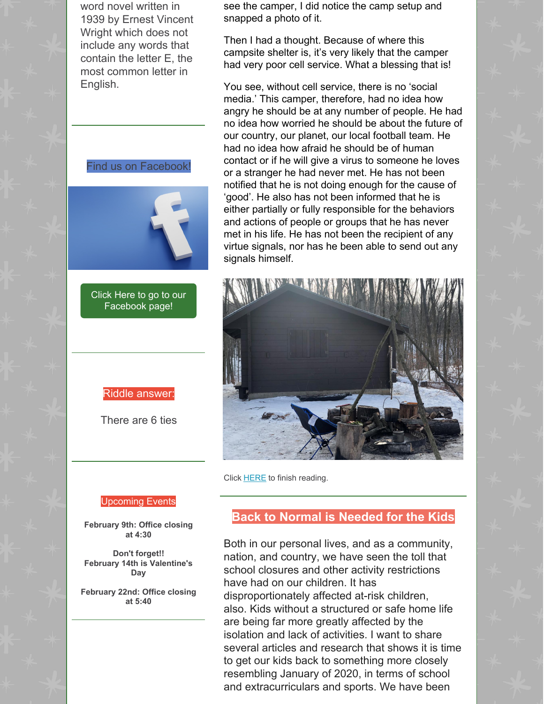word novel written in 1939 by Ernest Vincent Wright which does not include any words that contain the letter E, the most common letter in English.

Find us on Facebook!

Click Here to go to our [Facebook](https://www.facebook.com/gieblerchiro/) page!

Riddle answer:

There are 6 ties

see the camper, I did notice the camp setup and snapped a photo of it.

Then I had a thought. Because of where this campsite shelter is, it's very likely that the camper had very poor cell service. What a blessing that is!

You see, without cell service, there is no 'social media.' This camper, therefore, had no idea how angry he should be at any number of people. He had no idea how worried he should be about the future of our country, our planet, our local football team. He had no idea how afraid he should be of human contact or if he will give a virus to someone he loves or a stranger he had never met. He has not been notified that he is not doing enough for the cause of 'good'. He also has not been informed that he is either partially or fully responsible for the behaviors and actions of people or groups that he has never met in his life. He has not been the recipient of any virtue signals, nor has he been able to send out any signals himself.



Click **[HERE](https://gieblerchiropractic.blogspot.com/2021/02/battery-charger.html)** to finish reading.

#### Upcoming Events

**February 9th: Office closing at 4:30**

**Don't forget!! February 14th is Valentine's Day**

**February 22nd: Office closing at 5:40**

## **Back to Normal is Needed for the Kids**

Both in our personal lives, and as a community, nation, and country, we have seen the toll that school closures and other activity restrictions have had on our children. It has disproportionately affected at-risk children, also. Kids without a structured or safe home life are being far more greatly affected by the isolation and lack of activities. I want to share several articles and research that shows it is time to get our kids back to something more closely resembling January of 2020, in terms of school and extracurriculars and sports. We have been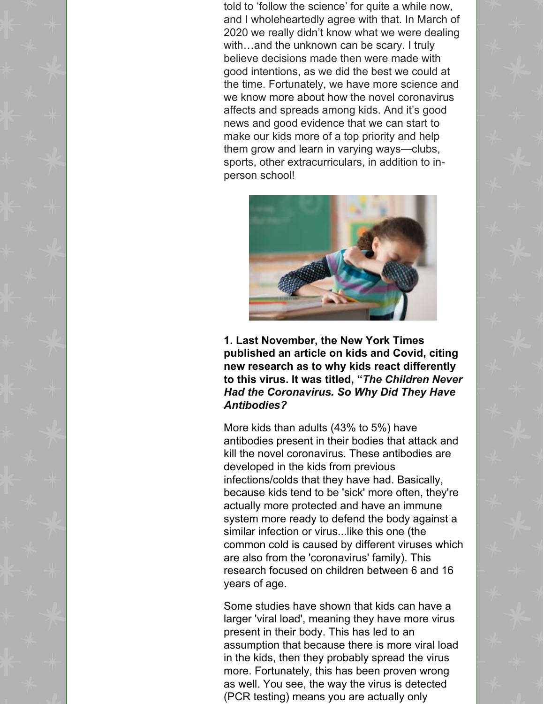told to 'follow the science' for quite a while now, and I wholeheartedly agree with that. In March of 2020 we really didn't know what we were dealing with…and the unknown can be scary. I truly believe decisions made then were made with good intentions, as we did the best we could at the time. Fortunately, we have more science and we know more about how the novel coronavirus affects and spreads among kids. And it's good news and good evidence that we can start to make our kids more of a top priority and help them grow and learn in varying ways—clubs, sports, other extracurriculars, in addition to inperson school!



**1. Last November, the New York Times published an article on kids and Covid, citing new research as to why kids react differently to this virus. It was titled, "***The Children Never Had the Coronavirus. So Why Did They Have Antibodies?*

More kids than adults (43% to 5%) have antibodies present in their bodies that attack and kill the novel coronavirus. These antibodies are developed in the kids from previous infections/colds that they have had. Basically, because kids tend to be 'sick' more often, they're actually more protected and have an immune system more ready to defend the body against a similar infection or virus...like this one (the common cold is caused by different viruses which are also from the 'coronavirus' family). This research focused on children between 6 and 16 years of age.

Some studies have shown that kids can have a larger 'viral load', meaning they have more virus present in their body. This has led to an assumption that because there is more viral load in the kids, then they probably spread the virus more. Fortunately, this has been proven wrong as well. You see, the way the virus is detected (PCR testing) means you are actually only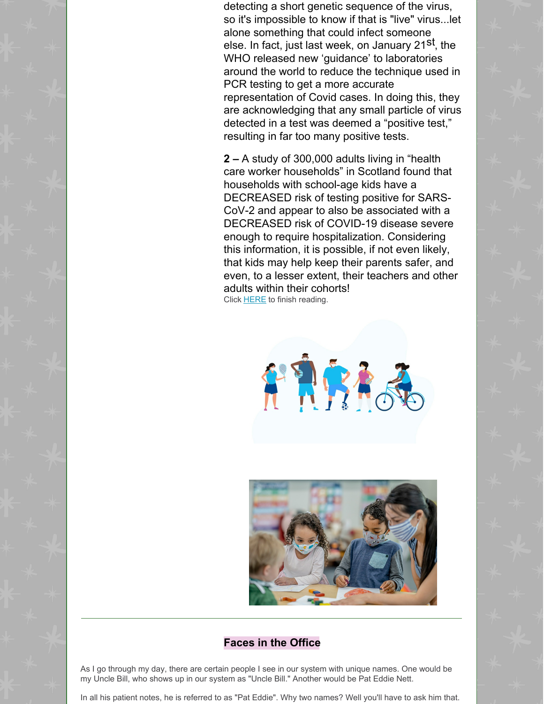detecting a short genetic sequence of the virus, so it's impossible to know if that is "live" virus...let alone something that could infect someone else. In fact, just last week, on January 21<sup>st</sup>, the WHO released new 'guidance' to laboratories around the world to reduce the technique used in PCR testing to get a more accurate representation of Covid cases. In doing this, they are acknowledging that any small particle of virus detected in a test was deemed a "positive test," resulting in far too many positive tests.

**2 –** A study of 300,000 adults living in "health care worker households" in Scotland found that households with school-age kids have a DECREASED risk of testing positive for SARS-CoV-2 and appear to also be associated with a DECREASED risk of COVID-19 disease severe enough to require hospitalization. Considering this information, it is possible, if not even likely, that kids may help keep their parents safer, and even, to a lesser extent, their teachers and other adults within their cohorts! Click [HERE](https://gieblerchiropractic.blogspot.com/2021/02/back-to-normal-is-needed-for-kids.html) to finish reading.





#### **Faces in the Office**

As I go through my day, there are certain people I see in our system with unique names. One would be my Uncle Bill, who shows up in our system as "Uncle Bill." Another would be Pat Eddie Nett.

In all his patient notes, he is referred to as "Pat Eddie". Why two names? Well you'll have to ask him that.